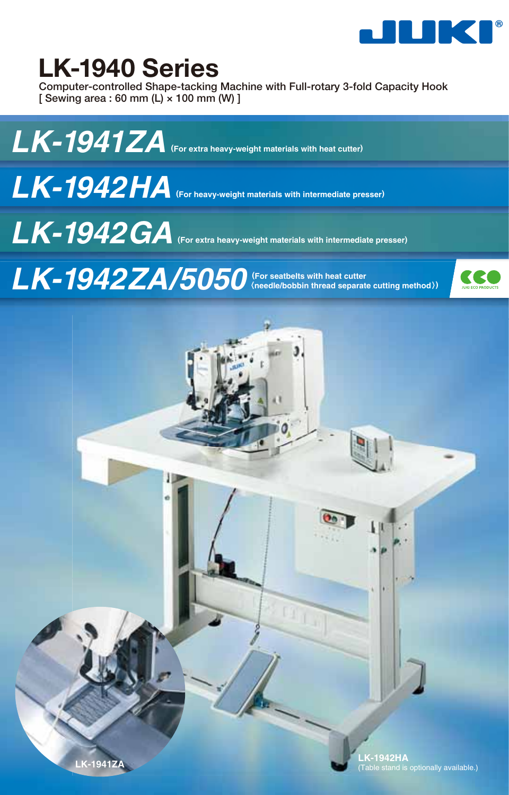

# **LK-1940 Series**

**Computer-controlled Shape-tacking Machine with Full-rotary 3-fold Capacity Hook [ Sewing area : 60 mm (L) × 100 mm (W) ]**



*LK-1942HA* **(For heavy-weight materials with intermediate presser)**

*LK-1942GA* **(For extra heavy-weight materials with intermediate presser)**

*LK-1942ZA/5050* **(For seatbelts with heat cutter** 〈**needle/bobbin thread separate cutting method**〉**)**

Н

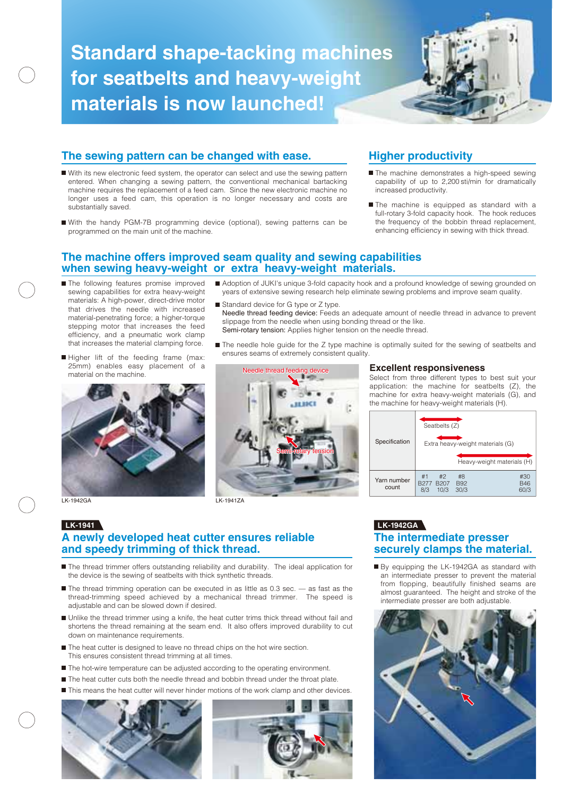# **Standard shape-tacking machines for seatbelts and heavy-weight materials is now launched!**



- With its new electronic feed system, the operator can select and use the sewing pattern entered. When changing a sewing pattern, the conventional mechanical bartacking machine requires the replacement of a feed cam. Since the new electronic machine no longer uses a feed cam, this operation is no longer necessary and costs are substantially saved.
- With the handy PGM-7B programming device (optional), sewing patterns can be programmed on the main unit of the machine.

- The machine demonstrates a high-speed sewing capability of up to 2,200 sti/min for dramatically increased productivity.
- The machine is equipped as standard with a full-rotary 3-fold capacity hook. The hook reduces the frequency of the bobbin thread replacement, enhancing efficiency in sewing with thick thread.

#### **The machine offers improved seam quality and sewing capabilities when sewing heavy-weight or extra heavy-weight materials.**

- The following features promise improved sewing capabilities for extra heavy-weight materials: A high-power, direct-drive motor that drives the needle with increased material-penetrating force; a higher-torque stepping motor that increases the feed efficiency, and a pneumatic work clamp that increases the material clamping force.
- Higher lift of the feeding frame (max: ensures seams of extremely consistent quality 25mm) enables easy placement of a material on the machine.



LK-1942GA

# Needle thread feeding device Semi-rotary tension LK-1941ZA

Standard device for G type or Z type.

slippage from the needle when using bonding thread or the like. Semi-rotary tension: Applies higher tension on the needle thread.

#### **Excellent responsiveness**

Adoption of JUKI's unique 3-fold capacity hook and a profound knowledge of sewing grounded on years of extensive sewing research help eliminate sewing problems and improve seam quality.

Needle thread feeding device: Feeds an adequate amount of needle thread in advance to prevent

The needle hole guide for the Z type machine is optimally suited for the sewing of seatbelts and

Select from three different types to best suit your application: the machine for seatbelts (Z), the machine for extra heavy-weight materials (G), and the machine for heavy-weight materials (H).

| Specification        | Seatbelts (Z)<br>Extra heavy-weight materials (G)<br>Heavy-weight materials (H) |                          |                           |  |  |
|----------------------|---------------------------------------------------------------------------------|--------------------------|---------------------------|--|--|
| Yarn number<br>count | #1<br>#2<br>B <sub>207</sub><br>B <sub>277</sub><br>8/3<br>10/3                 | #8<br><b>B92</b><br>30/3 | #30<br><b>B46</b><br>60/3 |  |  |

## **LK-1941 LK-1942GA**

#### **The intermediate presser securely clamps the material.**

By equipping the LK-1942GA as standard with an intermediate presser to prevent the material from flopping, beautifully finished seams are almost guaranteed. The height and stroke of the intermediate presser are both adjustable.



#### **A newly developed heat cutter ensures reliable and speedy trimming of thick thread.**

- The thread trimmer offers outstanding reliability and durability. The ideal application for the device is the sewing of seatbelts with thick synthetic threads.
- The thread trimming operation can be executed in as little as 0.3 sec. –– as fast as the thread-trimming speed achieved by a mechanical thread trimmer. The speed is adjustable and can be slowed down if desired.
- Unlike the thread trimmer using a knife, the heat cutter trims thick thread without fail and shortens the thread remaining at the seam end. It also offers improved durability to cut down on maintenance requirements.
- The heat cutter is designed to leave no thread chips on the hot wire section. This ensures consistent thread trimming at all times.
- The hot-wire temperature can be adjusted according to the operating environment.
- The heat cutter cuts both the needle thread and bobbin thread under the throat plate.
- This means the heat cutter will never hinder motions of the work clamp and other devices



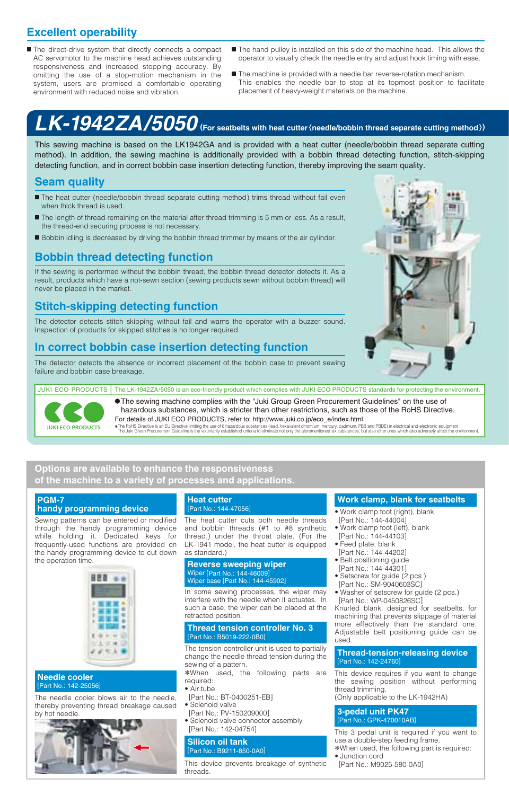### **Excellent operability**

- The direct-drive system that directly connects a compact AC servomotor to the machine head achieves outstanding responsiveness and increased stopping accuracy. By omitting the use of a stop-motion mechanism in the system, users are promised a comfortable operating environment with reduced noise and vibration.
- The hand pulley is installed on this side of the machine head. This allows the operator to visually check the needle entry and adjust hook timing with ease.
- The machine is provided with a needle bar reverse-rotation mechanism. This enables the needle bar to stop at its topmost position to facilitate placement of heavy-weight materials on the machine.

# *LK-1942ZA/5050* **(For seatbelts with heat cutter**〈**needle/bobbin thread separate cutting method**〉**)**

This sewing machine is based on the LK1942GA and is provided with a heat cutter (needle/bobbin thread separate cutting method). In addition, the sewing machine is additionally provided with a bobbin thread detecting function, stitch-skipping detecting function, and in correct bobbin case insertion detecting function, thereby improving the seam quality.

#### **Seam quality**

- The heat cutter (needle/bobbin thread separate cutting method) trims thread without fail even when thick thread is used.
- The length of thread remaining on the material after thread trimming is 5 mm or less. As a result, the thread-end securing process is not necessary.
- Bobbin idling is decreased by driving the bobbin thread trimmer by means of the air cylinder.

#### **Bobbin thread detecting function**

If the sewing is performed without the bobbin thread, the bobbin thread detector detects it. As a result, products which have a not-sewn section (sewing products sewn without bobbin thread) will never be placed in the market.

#### **Stitch-skipping detecting function**

The detector detects stitch skipping without fail and warns the operator with a buzzer sound. Inspection of products for skipped stitches is no longer required.

#### **In correct bobbin case insertion detecting function**

The detector detects the absence or incorrect placement of the bobbin case to prevent sewing failure and bobbin case breakage.



**JUKI ECO PRODUCTS** 

For details of JUKI ECO PRODUCTS, refer to: http://www.juki.co.jp/eco\_e/index.html The sewing machine complies with the "Juki Group Green Procurement Guidelines" on the use of hazardous substances, which is stricter than other restrictions, such as those of the RoHS Directive.

The RoHS Directive is an EU Directive limiting the use of 6 hazardous substances (lead, hexavelent chronium, mercury, cadmium, PBB and PBDE) in electrical and electronic equipment. The Julia Coller ones which also adversel

#### **Options are available to enhance the responsiveness of the machine to a variety of processes and applications.**

#### **PGM-7 handy programming device**

Sewing patterns can be entered or modified through the handy programming device while holding it. Dedicated keys for frequently-used functions are provided on the handy programming device to cut down the operation time.



#### **Needle cooler** [Part No.: 142-25056]

The needle cooler blows air to the needle, thereby preventing thread breakage caused by hot needle.



#### **Heat cutter** [Part No.: 144-47056]

The heat cutter cuts both needle threads and bobbin threads (#1 to #8 synthetic thread,) under the throat plate. (For the LK-1941 model, the heat cutter is equipped as standard.)

#### **Reverse sweeping wiper** Wiper [Part No.: 144-46009] Wiper base [Part No.: 144-45902]

In some sewing processes, the wiper may interfere with the needle when it actuates. In such a case, the wiper can be placed at the retracted position.

#### **Thread tension controller No. 3** [Part No.: B5019-222-0B0]

The tension controller unit is used to partially change the needle thread tension during the sewing of a pattern.

\*When used, the following parts are required:

- Air tube
- [Part No.: BT-0400251-EB]
- Solenoid valve
- [Part No.: PV-150209000] • Solenoid valve connector assembly [Part No.: 142-04754]

#### **Silicon oil tank** [Part No.: B9211-850-0A0]

This device prevents breakage of synthetic threads.

#### **Work clamp, blank for seatbelts**

- Work clamp foot (right), blank [Part No.: 144-44004]
- Work clamp foot (left), blank [Part No.: 144-44103]
- Feed plate, blank
	- [Part No.: 144-44202]
	- Belt positioning guide
- [Part No.: 144-44301] • Setscrew for quide (2 pcs.)
- [Part No.: SM-9040603SC]
- Washer of setscrew for guide (2 pcs.) [Part No.: WP-0450826SC]

Knurled blank, designed for seatbelts, for machining that prevents slippage of material more effectively than the standard one. Adjustable belt positioning guide can be used.

#### **Thread-tension-releasing device** [Part No.: 142-24760]

This device requires if you want to change the sewing position without performing thread trimming.

(Only applicable to the LK-1942HA)

#### **3-pedal unit PK47** [Part No.: GPK-470010AB]

This 3 pedal unit is required if you want to use a double-step feeding frame.

- \*When used, the following part is required: • Junction cord
- [Part No.: M9025-580-0A0]